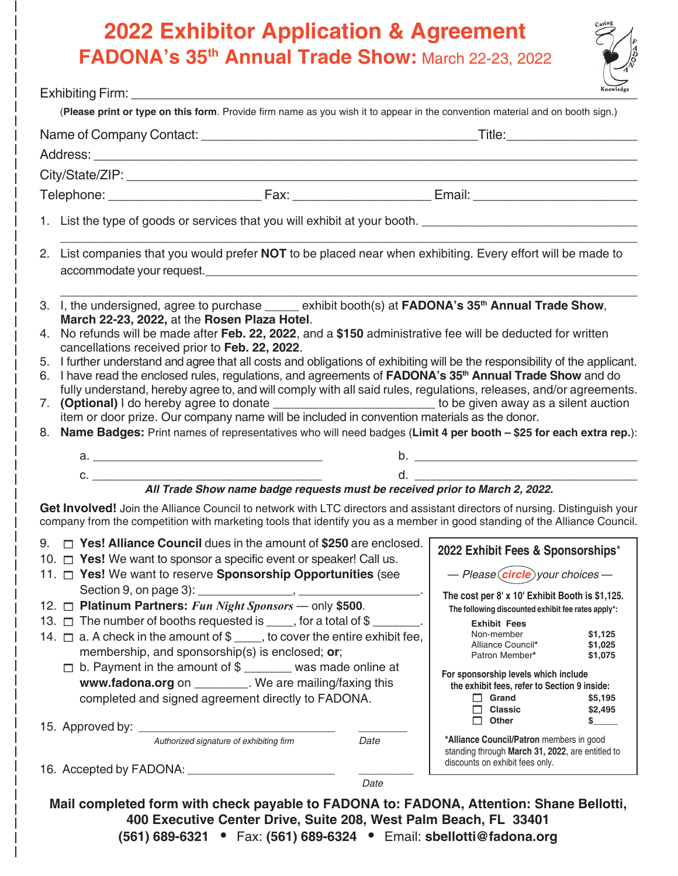## **2022 Exhibitor Application & Agreement FADONA's 35th Annual Trade Show:** March 22-23, 2022



|                                                                                                                                                                                                                                                                                                                                                                                                                                                                                                                                                                                                                                                                                                                                                                                                                                                                                                                                                                                                                                                    |      | Knowledge                                                                                                                                                                                                                                                                                                                                                                                                                                                                                                                                                                                                  |
|----------------------------------------------------------------------------------------------------------------------------------------------------------------------------------------------------------------------------------------------------------------------------------------------------------------------------------------------------------------------------------------------------------------------------------------------------------------------------------------------------------------------------------------------------------------------------------------------------------------------------------------------------------------------------------------------------------------------------------------------------------------------------------------------------------------------------------------------------------------------------------------------------------------------------------------------------------------------------------------------------------------------------------------------------|------|------------------------------------------------------------------------------------------------------------------------------------------------------------------------------------------------------------------------------------------------------------------------------------------------------------------------------------------------------------------------------------------------------------------------------------------------------------------------------------------------------------------------------------------------------------------------------------------------------------|
| (Please print or type on this form. Provide firm name as you wish it to appear in the convention material and on booth sign.)                                                                                                                                                                                                                                                                                                                                                                                                                                                                                                                                                                                                                                                                                                                                                                                                                                                                                                                      |      |                                                                                                                                                                                                                                                                                                                                                                                                                                                                                                                                                                                                            |
|                                                                                                                                                                                                                                                                                                                                                                                                                                                                                                                                                                                                                                                                                                                                                                                                                                                                                                                                                                                                                                                    |      |                                                                                                                                                                                                                                                                                                                                                                                                                                                                                                                                                                                                            |
|                                                                                                                                                                                                                                                                                                                                                                                                                                                                                                                                                                                                                                                                                                                                                                                                                                                                                                                                                                                                                                                    |      |                                                                                                                                                                                                                                                                                                                                                                                                                                                                                                                                                                                                            |
|                                                                                                                                                                                                                                                                                                                                                                                                                                                                                                                                                                                                                                                                                                                                                                                                                                                                                                                                                                                                                                                    |      |                                                                                                                                                                                                                                                                                                                                                                                                                                                                                                                                                                                                            |
|                                                                                                                                                                                                                                                                                                                                                                                                                                                                                                                                                                                                                                                                                                                                                                                                                                                                                                                                                                                                                                                    |      |                                                                                                                                                                                                                                                                                                                                                                                                                                                                                                                                                                                                            |
| 1. List the type of goods or services that you will exhibit at your booth. ___________________________________                                                                                                                                                                                                                                                                                                                                                                                                                                                                                                                                                                                                                                                                                                                                                                                                                                                                                                                                     |      |                                                                                                                                                                                                                                                                                                                                                                                                                                                                                                                                                                                                            |
| 2. List companies that you would prefer NOT to be placed near when exhibiting. Every effort will be made to                                                                                                                                                                                                                                                                                                                                                                                                                                                                                                                                                                                                                                                                                                                                                                                                                                                                                                                                        |      |                                                                                                                                                                                                                                                                                                                                                                                                                                                                                                                                                                                                            |
| 3. I, the undersigned, agree to purchase _____ exhibit booth(s) at FADONA's 35 <sup>th</sup> Annual Trade Show,<br>March 22-23, 2022, at the Rosen Plaza Hotel.<br>4. No refunds will be made after Feb. 22, 2022, and a \$150 administrative fee will be deducted for written<br>cancellations received prior to Feb. 22, 2022.<br>5. I further understand and agree that all costs and obligations of exhibiting will be the responsibility of the applicant.<br>6. I have read the enclosed rules, regulations, and agreements of FADONA's 35 <sup>th</sup> Annual Trade Show and do<br>fully understand, hereby agree to, and will comply with all said rules, regulations, releases, and/or agreements.<br>(Optional) I do hereby agree to donate __________________________ to be given away as a silent auction<br>7.<br>item or door prize. Our company name will be included in convention materials as the donor.<br>8. Name Badges: Print names of representatives who will need badges (Limit 4 per booth - \$25 for each extra rep.): |      |                                                                                                                                                                                                                                                                                                                                                                                                                                                                                                                                                                                                            |
|                                                                                                                                                                                                                                                                                                                                                                                                                                                                                                                                                                                                                                                                                                                                                                                                                                                                                                                                                                                                                                                    |      |                                                                                                                                                                                                                                                                                                                                                                                                                                                                                                                                                                                                            |
| $C.$ $\qquad \qquad$<br>d. All and the state of the state of the state of the state of the state of the state of the state of the state                                                                                                                                                                                                                                                                                                                                                                                                                                                                                                                                                                                                                                                                                                                                                                                                                                                                                                            |      |                                                                                                                                                                                                                                                                                                                                                                                                                                                                                                                                                                                                            |
| All Trade Show name badge requests must be received prior to March 2, 2022.<br>Get Involved! Join the Alliance Council to network with LTC directors and assistant directors of nursing. Distinguish your<br>company from the competition with marketing tools that identify you as a member in good standing of the Alliance Council.                                                                                                                                                                                                                                                                                                                                                                                                                                                                                                                                                                                                                                                                                                             |      |                                                                                                                                                                                                                                                                                                                                                                                                                                                                                                                                                                                                            |
| $\Box$ Yes! Alliance Council dues in the amount of \$250 are enclosed.<br>9.<br>10. $\Box$ Yes! We want to sponsor a specific event or speaker! Call us.<br>11. P Yes! We want to reserve Sponsorship Opportunities (see<br>12. Platinum Partners: Fun Night Sponsors - only \$500.<br>13. $\Box$ The number of booths requested is ____, for a total of $\$\_\_\_\_\_$ .<br>14. $\Box$ a. A check in the amount of $\$\_\_$ , to cover the entire exhibit fee,<br>membership, and sponsorship(s) is enclosed; or;<br>$\Box$ b. Payment in the amount of \$ _______ was made online at<br>www.fadona.org on _________. We are mailing/faxing this<br>completed and signed agreement directly to FADONA.<br>Authorized signature of exhibiting firm<br>Date                                                                                                                                                                                                                                                                                         |      | 2022 Exhibit Fees & Sponsorships*<br>$-$ Please $(circle)$ your choices $-$<br>The cost per 8' x 10' Exhibit Booth is \$1,125.<br>The following discounted exhibit fee rates apply*:<br><b>Exhibit Fees</b><br>Non-member<br>\$1,125<br>\$1,025<br>Alliance Council*<br>Patron Member*<br>\$1,075<br>For sponsorship levels which include<br>the exhibit fees, refer to Section 9 inside:<br>$\Box$ Grand<br>\$5,195<br>$\Box$ Classic<br>\$2,495<br>$\Box$ Other<br>S.<br>*Alliance Council/Patron members in good<br>standing through March 31, 2022, are entitled to<br>discounts on exhibit fees only. |
|                                                                                                                                                                                                                                                                                                                                                                                                                                                                                                                                                                                                                                                                                                                                                                                                                                                                                                                                                                                                                                                    | Date |                                                                                                                                                                                                                                                                                                                                                                                                                                                                                                                                                                                                            |
| Mail completed form with check payable to FADONA to: FADONA, Attention: Shane Bellotti,<br>400 Executive Center Drive, Suite 208, West Palm Beach, FL 33401<br>(561) 689-6321 • Fax: (561) 689-6324 • Email: sbellotti@fadona.org                                                                                                                                                                                                                                                                                                                                                                                                                                                                                                                                                                                                                                                                                                                                                                                                                  |      |                                                                                                                                                                                                                                                                                                                                                                                                                                                                                                                                                                                                            |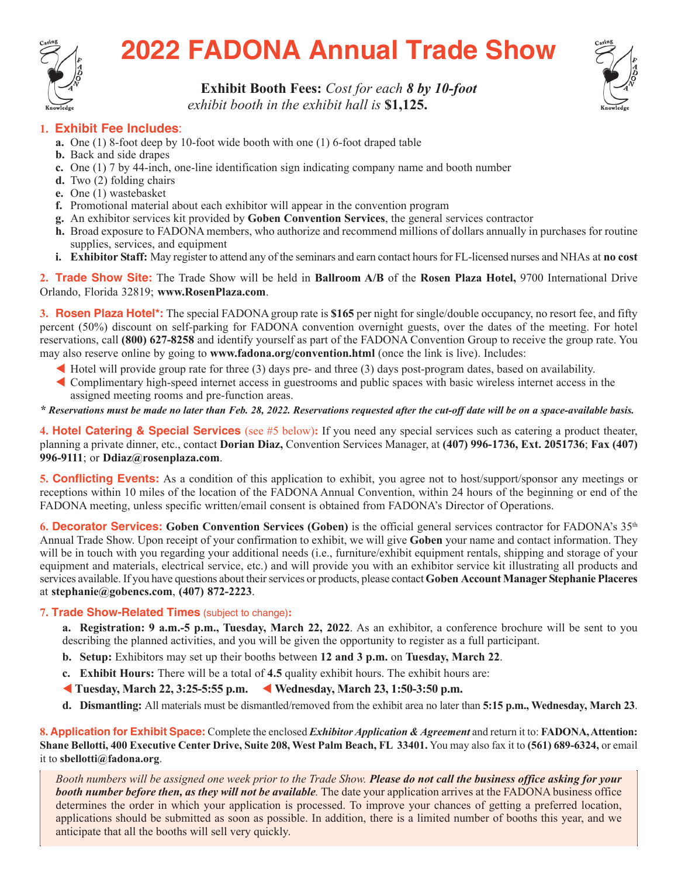

# **2022 FADONA Annual Trade Show**



## **Exhibit Booth Fees:** *Cost for each 8 by 10-foot*

*exhibit booth in the exhibit hall is* \$1,125.

### **1. Exhibit Fee Includes**:

- **a.** One (1) 8-foot deep by 10-foot wide booth with one (1) 6-foot draped table
- **b.** Back and side drapes
- **c.** One (1) 7 by 44-inch, one-line identification sign indicating company name and booth number
- **d.** Two (2) folding chairs
- **e.** One (1) wastebasket
- **f.** Promotional material about each exhibitor will appear in the convention program
- **g.** An exhibitor services kit provided by **Goben Convention Services**, the general services contractor
- **h.** Broad exposure to FADONA members, who authorize and recommend millions of dollars annually in purchases for routine supplies, services, and equipment
- **i. Exhibitor Staff:** May register to attend any of the seminars and earn contact hours for FL-licensed nurses and NHAs at **no cost**

**2. Trade Show Site:** The Trade Show will be held in **Ballroom A/B** of the **Rosen Plaza Hotel,** 9700 International Drive Orlando, Florida 32819; **www.RosenPlaza.com**.

**3. Rosen Plaza Hotel\*:** The special FADONA group rate is **\$165** per night for single/double occupancy, no resort fee, and fifty percent (50%) discount on self-parking for FADONA convention overnight guests, over the dates of the meeting. For hotel reservations, call **(800) 627-8258** and identify yourself as part of the FADONA Convention Group to receive the group rate. You may also reserve online by going to **www.fadona.org/convention.html** (once the link is live). Includes:

- Hotel will provide group rate for three  $(3)$  days pre- and three  $(3)$  days post-program dates, based on availability.
- W Complimentary high-speed internet access in guestrooms and public spaces with basic wireless internet access in the assigned meeting rooms and pre-function areas.

*\* Reservations must be made no later than Feb. 28, 2022. Reservations requested after the cut-off date will be on a space-available basis.*

**4. Hotel Catering & Special Services** (see #5 below)**:** If you need any special services such as catering a product theater, planning a private dinner, etc., contact **Dorian Diaz,** Convention Services Manager, at **(407) 996-1736, Ext. 2051736**; **Fax (407) 996-9111**; or **Ddiaz@rosenplaza.com**.

**5. Conflicting Events:** As a condition of this application to exhibit, you agree not to host/support/sponsor any meetings or receptions within 10 miles of the location of the FADONA Annual Convention, within 24 hours of the beginning or end of the FADONA meeting, unless specific written/email consent is obtained from FADONA's Director of Operations.

**6. Decorator Services: Goben Convention Services (Goben)** is the official general services contractor for FADONA's 35th Annual Trade Show. Upon receipt of your confirmation to exhibit, we will give **Goben** your name and contact information. They will be in touch with you regarding your additional needs (i.e., furniture/exhibit equipment rentals, shipping and storage of your equipment and materials, electrical service, etc.) and will provide you with an exhibitor service kit illustrating all products and services available. If you have questions about their services or products, please contact **Goben Account Manager Stephanie Placeres** at **stephanie@gobencs.com**, **(407) 872-2223**.

#### **7. Trade Show-Related Times** (subject to change)**:**

**a. Registration: 9 a.m.-5 p.m., Tuesday, March 22, 2022**. As an exhibitor, a conference brochure will be sent to you describing the planned activities, and you will be given the opportunity to register as a full participant.

- **b. Setup:** Exhibitors may set up their booths between **12 and 3 p.m.** on **Tuesday, March 22**.
- **c. Exhibit Hours:** There will be a total of **4.5** quality exhibit hours. The exhibit hours are:
- W **Tuesday, March 22, 3:25-5:55 p.m.** W **Wednesday, March 23, 1:50-3:50 p.m.**
- **d. Dismantling:** All materials must be dismantled/removed from the exhibit area no later than **5:15 p.m., Wednesday, March 23**.

**8. Application for Exhibit Space:** Complete the enclosed *Exhibitor Application & Agreement* and return it to: **FADONA, Attention: Shane Bellotti, 400 Executive Center Drive, Suite 208, West Palm Beach, FL 33401.** You may also fax it to **(561) 689-6324,** or email it to **sbellotti@fadona.org**.

*Booth numbers will be assigned one week prior to the Trade Show. Please do not call the business office asking for your booth number before then, as they will not be available.* The date your application arrives at the FADONA business office determines the order in which your application is processed. To improve your chances of getting a preferred location, applications should be submitted as soon as possible. In addition, there is a limited number of booths this year, and we anticipate that all the booths will sell very quickly.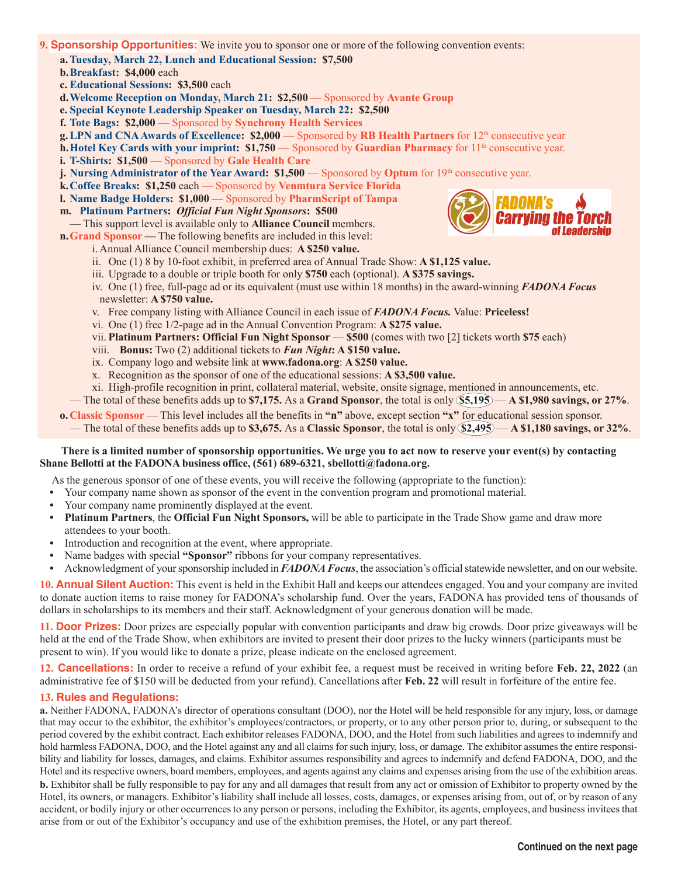#### **9. Sponsorship Opportunities:** We invite you to sponsor one or more of the following convention events:

**a.Tuesday, March 22, Lunch and Educational Session: \$7,500**

**b.Breakfast: \$4,000** each

**c. Educational Sessions: \$3,500** each

- **d. Welcome Reception on Monday, March 21: \$2,500** Sponsored by **Avante Group**
- **e. Special Keynote Leadership Speaker on Tuesday, March 22: \$2,500**

**f. Tote Bags: \$2,000** — Sponsored by **Synchrony Health Services**

**g. LPN and CNA Awards of Excellence: \$2,000** — Sponsored by RB Health Partners for 12<sup>th</sup> consecutive year

**h. Hotel Key Cards with your imprint: \$1,750** — Sponsored by **Guardian Pharmacy** for  $11^{\text{th}}$  consecutive year.

- **i. T-Shirts: \$1,500** Sponsored by Gale Health Care
- **j.** Nursing Administrator of the Year Award: \$1,500 Sponsored by Optum for 19<sup>th</sup> consecutive year.
- **k.Coffee Breaks: \$1,250** each Sponsored by **Venmtura Service Florida**
- **l. Name Badge Holders: \$1,000** Sponsored by **PharmScript of Tampa**
- **m. Platinum Partners:** *Official Fun Night Sponsors***: \$500**
- This support level is available only to **Alliance Council** members.
- **n.Grand Sponsor —** The following benefits are included in this level:
	- i. Annual Alliance Council membership dues: **A \$250 value.**
	- ii. One (1) 8 by 10-foot exhibit, in preferred area of Annual Trade Show: **A \$1,125 value.**
	- iii. Upgrade to a double or triple booth for only **\$750** each (optional). **A \$375 savings.**
	- iv. One (1) free, full-page ad or its equivalent (must use within 18 months) in the award-winning *FADONA Focus* newsletter: **A \$750 value.**
	- v. Free company listing with Alliance Council in each issue of *FADONA Focus.* Value: **Priceless!**
	- vi. One (1) free 1/2-page ad in the Annual Convention Program: **A \$275 value.**
	- vii. **Platinum Partners: Official Fun Night Sponsor \$500** (comes with two [2] tickets worth **\$75** each)
	- viii. **Bonus:** Two (2) additional tickets to *Fun Night***: A \$150 value.**
	- ix. Company logo and website link at **www.fadona.org**: **A \$250 value.**
	- x. Recognition as the sponsor of one of the educational sessions: **A \$3,500 value.**
	- xi. High-profile recognition in print, collateral material, website, onsite signage, mentioned in announcements, etc.
- The total of these benefits adds up to **\$7,175.** As a **Grand Sponsor**, the total is only **\$5,195 A \$1,980 savings, or 27%**.
- **o.Classic Sponsor**  This level includes all the benefits in **"n"** above, except section **"x"** for educational session sponsor.
- The total of these benefits adds up to **\$3,675.** As a **Classic Sponsor**, the total is only **\$2,495 A \$1,180 savings, or 32%**.

#### **There is a limited number of sponsorship opportunities. We urge you to act now to reserve your event(s) by contacting Shane Bellotti at the FADONA business office, (561) 689-6321, sbellotti@fadona.org.**

As the generous sponsor of one of these events, you will receive the following (appropriate to the function):

- **•** Your company name shown as sponsor of the event in the convention program and promotional material.
- **•** Your company name prominently displayed at the event.
- **Platinum Partners**, the **Official Fun Night Sponsors,** will be able to participate in the Trade Show game and draw more attendees to your booth.
- **•** Introduction and recognition at the event, where appropriate.
- **•** Name badges with special **"Sponsor"** ribbons for your company representatives.
- **•** Acknowledgment of your sponsorship included in *FADONA Focus*, the association's official statewide newsletter, and on our website.

**10. Annual Silent Auction:** This event is held in the Exhibit Hall and keeps our attendees engaged. You and your company are invited to donate auction items to raise money for FADONA's scholarship fund. Over the years, FADONA has provided tens of thousands of dollars in scholarships to its members and their staff. Acknowledgment of your generous donation will be made.

**11. Door Prizes:** Door prizes are especially popular with convention participants and draw big crowds. Door prize giveaways will be held at the end of the Trade Show, when exhibitors are invited to present their door prizes to the lucky winners (participants must be present to win). If you would like to donate a prize, please indicate on the enclosed agreement.

**12. Cancellations:** In order to receive a refund of your exhibit fee, a request must be received in writing before **Feb. 22, 2022** (an administrative fee of \$150 will be deducted from your refund). Cancellations after **Feb. 22** will result in forfeiture of the entire fee.

#### **13. Rules and Regulations:**

**a.** Neither FADONA, FADONA's director of operations consultant (DOO), nor the Hotel will be held responsible for any injury, loss, or damage that may occur to the exhibitor, the exhibitor's employees/contractors, or property, or to any other person prior to, during, or subsequent to the period covered by the exhibit contract. Each exhibitor releases FADONA, DOO, and the Hotel from such liabilities and agrees to indemnify and hold harmless FADONA, DOO, and the Hotel against any and all claims for such injury, loss, or damage. The exhibitor assumes the entire responsibility and liability for losses, damages, and claims. Exhibitor assumes responsibility and agrees to indemnify and defend FADONA, DOO, and the Hotel and its respective owners, board members, employees, and agents against any claims and expenses arising from the use of the exhibition areas. **b.** Exhibitor shall be fully responsible to pay for any and all damages that result from any act or omission of Exhibitor to property owned by the Hotel, its owners, or managers. Exhibitor's liability shall include all losses, costs, damages, or expenses arising from, out of, or by reason of any accident, or bodily injury or other occurrences to any person or persons, including the Exhibitor, its agents, employees, and business invitees that arise from or out of the Exhibitor's occupancy and use of the exhibition premises, the Hotel, or any part thereof.